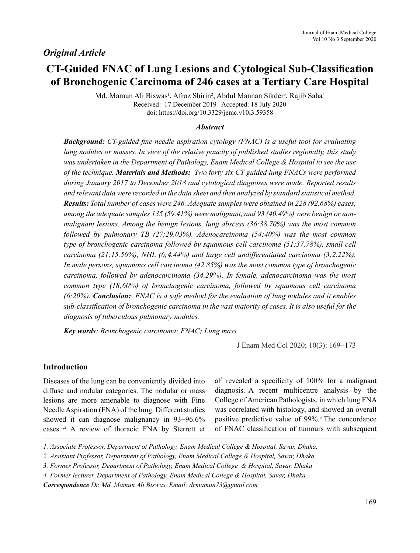# **CT-Guided FNAC of Lung Lesions and Cytological Sub-Classification of Bronchogenic Carcinoma of 246 cases at a Tertiary Care Hospital**

Md. Mamun Ali Biswas<sup>1</sup>, Afroz Shirin<sup>2</sup>, Abdul Mannan Sikder<sup>3</sup>, Rajib Saha<sup>4</sup> Received: 17 December 2019 Accepted: 18 July 2020 doi: https://doi.org/10.3329/jemc.v10i3.59358

## *Abstract*

*Background: CT-guided fine needle aspiration cytology (FNAC) is a useful tool for evaluating lung nodules or masses. In view of the relative paucity of published studies regionally, this study was undertaken in the Department of Pathology, Enam Medical College & Hospital to see the use of the technique. Materials and Methods: Two forty six CT guided lung FNACs were performed during January 2017 to December 2018 and cytological diagnoses were made. Reported results and relevant data were recorded in the data sheet and then analyzed by standard statistical method. Results: Total number of cases were 246. Adequate samples were obtained in 228 (92.68%) cases, among the adequate samples 135 (59.41%) were malignant, and 93 (40.49%) were benign or nonmalignant lesions. Among the benign lesions, lung abscess (36;38.70%) was the most common followed by pulmonary TB (27;29.03%). Adenocarcinoma (54;40%) was the most common type of bronchogenic carcinoma followed by squamous cell carcinoma (51;37.78%), small cell carcinoma (21;15.56%), NHL (6;4.44%) and large cell undifferentiated carcinoma (3;2.22%). In male persons, squamous cell carcinoma (42.85%) was the most common type of bronchogenic carcinoma, followed by adenocarcinoma (34.29%). In female, adenocarcinoma was the most common type (18;60%) of bronchogenic carcinoma, followed by squamous cell carcinoma (6;20%). Conclusion: FNAC is a safe method for the evaluation of lung nodules and it enables sub-classification of bronchogenic carcinoma in the vast majority of cases. It is also useful for the diagnosis of tuberculous pulmonary nodules.*

*Key words: Bronchogenic carcinoma; FNAC; Lung mass*

J Enam Med Col 2020; 10(3): 169−173

# **Introduction**

Diseases of the lung can be conveniently divided into diffuse and nodular categories. The nodular or mass lesions are more amenable to diagnose with Fine Needle Aspiration (FNA) of the lung. Different studies showed it can diagnose malignancy in 93−96.6% cases.<sup>1,2</sup> A review of thoracic FNA by Sterrett et

al3 revealed a specificity of 100% for a malignant diagnosis. A recent multicentre analysis by the College of American Pathologists, in which lung FNA was correlated with histology, and showed an overall positive predictive value of 99%.<sup>3</sup> The concordance of FNAC classification of tumours with subsequent

*<sup>1.</sup> Associate Professor, Department of Pathology, Enam Medical College & Hospital, Savar, Dhaka.*

*<sup>2.</sup> Assistant Professor, Department of Pathology, Enam Medical College & Hospital, Savar, Dhaka.*

*<sup>3.</sup> Former Professor, Department of Pathology, Enam Medical College & Hospital, Savar, Dhaka*

*<sup>4.</sup> Former lecturer, Department of Pathology, Enam Medical College & Hospital, Savar, Dhaka.*

*Correspondence Dr. Md. Mamun Ali Biswas, Email: drmamun73@gmail.com*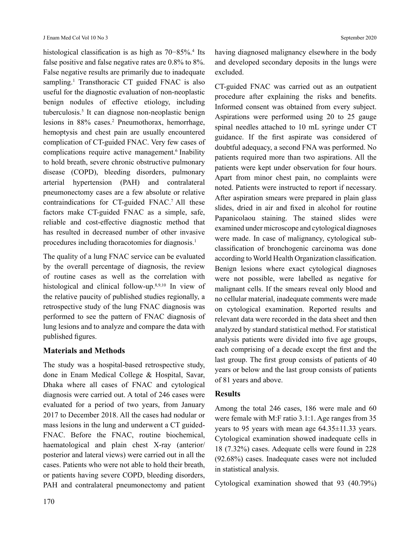histological classification is as high as 70−85%.<sup>4</sup> Its false positive and false negative rates are 0.8% to 8%. False negative results are primarily due to inadequate sampling.<sup>1</sup> Transthoracic CT guided FNAC is also useful for the diagnostic evaluation of non-neoplastic benign nodules of effective etiology, including tuberculosis.5 It can diagnose non-neoplastic benign lesions in 88% cases.<sup>2</sup> Pneumothorax, hemorrhage, hemoptysis and chest pain are usually encountered complication of CT-guided FNAC. Very few cases of complications require active management.<sup>6</sup> Inability to hold breath, severe chronic obstructive pulmonary disease (COPD), bleeding disorders, pulmonary arterial hypertension (PAH) and contralateral pneumonectomy cases are a few absolute or relative contraindications for CT-guided FNAC.<sup>7</sup> All these factors make CT-guided FNAC as a simple, safe, reliable and cost-effective diagnostic method that has resulted in decreased number of other invasive procedures including thoracotomies for diagnosis.<sup>1</sup>

The quality of a lung FNAC service can be evaluated by the overall percentage of diagnosis, the review of routine cases as well as the correlation with histological and clinical follow-up.<sup>8,9,10</sup> In view of the relative paucity of published studies regionally, a retrospective study of the lung FNAC diagnosis was performed to see the pattern of FNAC diagnosis of lung lesions and to analyze and compare the data with published figures.

# **Materials and Methods**

The study was a hospital-based retrospective study, done in Enam Medical College & Hospital, Savar, Dhaka where all cases of FNAC and cytological diagnosis were carried out. A total of 246 cases were evaluated for a period of two years, from January 2017 to December 2018. All the cases had nodular or mass lesions in the lung and underwent a CT guided-FNAC. Before the FNAC, routine biochemical, haematological and plain chest X-ray (anterior/ posterior and lateral views) were carried out in all the cases. Patients who were not able to hold their breath, or patients having severe COPD, bleeding disorders, PAH and contralateral pneumonectomy and patient having diagnosed malignancy elsewhere in the body and developed secondary deposits in the lungs were excluded.

CT-guided FNAC was carried out as an outpatient procedure after explaining the risks and benefits. Informed consent was obtained from every subject. Aspirations were performed using 20 to 25 gauge spinal needles attached to 10 mL syringe under CT guidance. If the first aspirate was considered of doubtful adequacy, a second FNA was performed. No patients required more than two aspirations. All the patients were kept under observation for four hours. Apart from minor chest pain, no complaints were noted. Patients were instructed to report if necessary. After aspiration smears were prepared in plain glass slides, dried in air and fixed in alcohol for routine Papanicolaou staining. The stained slides were examined under microscope and cytological diagnoses were made. In case of malignancy, cytological subclassification of bronchogenic carcinoma was done according to World Health Organization classification. Benign lesions where exact cytological diagnoses were not possible, were labelled as negative for malignant cells. If the smears reveal only blood and no cellular material, inadequate comments were made on cytological examination. Reported results and relevant data were recorded in the data sheet and then analyzed by standard statistical method. For statistical analysis patients were divided into five age groups, each comprising of a decade except the first and the last group. The first group consists of patients of 40 years or below and the last group consists of patients of 81 years and above.

# **Results**

Among the total 246 cases, 186 were male and 60 were female with M:F ratio 3.1:1. Age ranges from 35 years to 95 years with mean age 64.35±11.33 years. Cytological examination showed inadequate cells in 18 (7.32%) cases. Adequate cells were found in 228 (92.68%) cases. Inadequate cases were not included in statistical analysis.

Cytological examination showed that 93 (40.79%)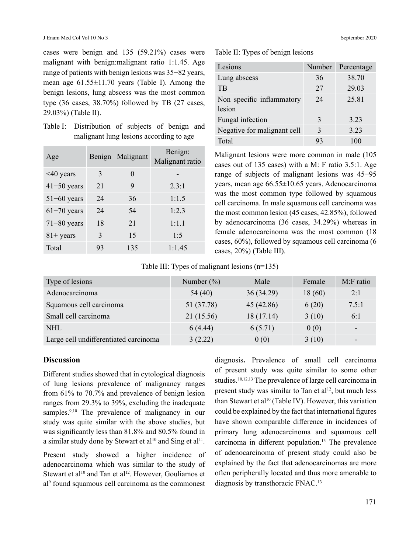cases were benign and 135 (59.21%) cases were malignant with benign:malignant ratio 1:1.45. Age range of patients with benign lesions was 35−82 years, mean age 61.55±11.70 years (Table I). Among the benign lesions, lung abscess was the most common type (36 cases, 38.70%) followed by TB (27 cases, 29.03%) (Table II).

Table I: Distribution of subjects of benign and malignant lung lesions according to age

| Age             | Benign | Malignant | Benign:<br>Malignant ratio |
|-----------------|--------|-----------|----------------------------|
| <40 years       | 3      | $\Omega$  |                            |
| $41 - 50$ years | 21     | 9         | 2.3:1                      |
| $51-60$ years   | 24     | 36        | 1:1.5                      |
| $61-70$ years   | 24     | 54        | 1:2.3                      |
| $71 - 80$ years | 18     | 21        | 1:1.1                      |
| $81 + years$    | 3      | 15        | 1:5                        |
| Total           | 93     | 135       | 1:1.45                     |

#### Table II: Types of benign lesions

| Lesions                             | Number | Percentage |
|-------------------------------------|--------|------------|
| Lung abscess                        | 36     | 38.70      |
| <b>TB</b>                           | 27     | 29.03      |
| Non specific inflammatory<br>lesion | 24     | 25.81      |
| Fungal infection                    | 3      | 3.23       |
| Negative for malignant cell         | 3      | 3.23       |
| Total                               | 93     | 100        |

Malignant lesions were more common in male (105 cases out of 135 cases) with a M: F ratio 3.5:1. Age range of subjects of malignant lesions was 45−95 years, mean age 66.55±10.65 years. Adenocarcinoma was the most common type followed by squamous cell carcinoma. In male squamous cell carcinoma was the most common lesion (45 cases, 42.85%), followed by adenocarcinoma (36 cases, 34.29%) whereas in female adenocarcinoma was the most common (18 cases, 60%), followed by squamous cell carcinoma (6 cases, 20%) (Table III).

Table III: Types of malignant lesions (n=135)

| Type of lesions                       | Number $(\%)$ | Male      | Female | M:F ratio                |
|---------------------------------------|---------------|-----------|--------|--------------------------|
| Adenocarcinoma                        | 54 (40)       | 36(34.29) | 18(60) | 2:1                      |
| Squamous cell carcinoma               | 51 (37.78)    | 45(42.86) | 6(20)  | 7.5:1                    |
| Small cell carcinoma                  | 21 (15.56)    | 18(17.14) | 3(10)  | 6:1                      |
| <b>NHL</b>                            | 6(4.44)       | 6(5.71)   | 0(0)   | $\overline{\phantom{a}}$ |
| Large cell undifferentiated carcinoma | 3(2.22)       | 0(0)      | 3(10)  | $\overline{\phantom{0}}$ |

## **Discussion**

Different studies showed that in cytological diagnosis of lung lesions prevalence of malignancy ranges from 61% to 70.7% and prevalence of benign lesion ranges from 29.3% to 39%, excluding the inadequate samples.<sup>9,10</sup> The prevalence of malignancy in our study was quite similar with the above studies, but was significantly less than 81.8% and 80.5% found in a similar study done by Stewart et al<sup>10</sup> and Sing et al<sup>11</sup>.

Present study showed a higher incidence of adenocarcinoma which was similar to the study of Stewart et al<sup>10</sup> and Tan et al<sup>12</sup>. However, Gouliamos et al9 found squamous cell carcinoma as the commonest diagnosis**.** Prevalence of small cell carcinoma of present study was quite similar to some other studies.10,12,13 The prevalence of large cell carcinoma in present study was similar to Tan et  $a^{1/2}$ , but much less than Stewart et al<sup>10</sup> (Table IV). However, this variation could be explained by the fact that international figures have shown comparable difference in incidences of primary lung adenocarcinoma and squamous cell carcinoma in different population.<sup>13</sup> The prevalence of adenocarcinoma of present study could also be explained by the fact that adenocarcinomas are more often peripherally located and thus more amenable to diagnosis by transthoracic FNAC.13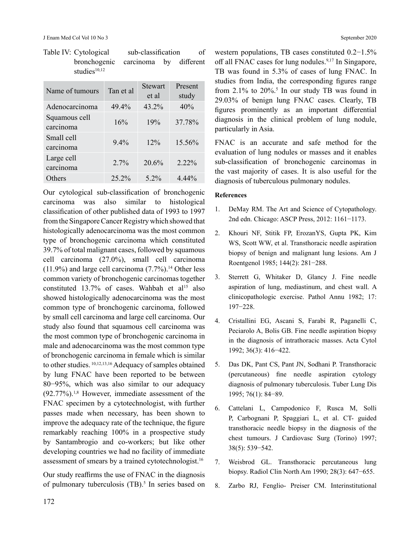| Name of tumours            | Tan et al | Stewart<br>et al | Present<br>study |
|----------------------------|-----------|------------------|------------------|
| Adenocarcinoma             | 49.4%     | 43.2%            | 40%              |
| Squamous cell<br>carcinoma | 16%       | 19%              | 37.78%           |
| Small cell<br>carcinoma    | $9.4\%$   | $12\%$           | 15.56%           |
| Large cell<br>carcinoma    | $2.7\%$   | 20.6%            | $2.22\%$         |
| Others                     | 25.2%     | $5.2\%$          | $4.44\%$         |

Table IV: Cytological sub-classification of bronchogenic carcinoma by different studies $10,12$ 

Our cytological sub-classification of bronchogenic carcinoma was also similar to histological classification of other published data of 1993 to 1997 from the Singapore Cancer Registry which showed that histologically adenocarcinoma was the most common type of bronchogenic carcinoma which constituted 39.7% of total malignant cases, followed by squamous cell carcinoma (27.0%), small cell carcinoma  $(11.9\%)$  and large cell carcinoma  $(7.7\%)$ <sup>14</sup> Other less common variety of bronchogenic carcinomas together constituted  $13.7\%$  of cases. Wahbah et al<sup>15</sup> also showed histologically adenocarcinoma was the most common type of bronchogenic carcinoma, followed by small cell carcinoma and large cell carcinoma. Our study also found that squamous cell carcinoma was the most common type of bronchogenic carcinoma in male and adenocarcinoma was the most common type of bronchogenic carcinoma in female which is similar to other studies. 10,12,13,16 Adequacy of samples obtained by lung FNAC have been reported to be between 80−95%, which was also similar to our adequacy (92.77%).1,8 However, immediate assessment of the FNAC specimen by a cytotechnologist, with further passes made when necessary, has been shown to improve the adequacy rate of the technique, the figure remarkably reaching 100% in a prospective study by Santambrogio and co-workers; but like other developing countries we had no facility of immediate assessment of smears by a trained cytotechnologist.<sup>16</sup>

Our study reaffirms the use of FNAC in the diagnosis of pulmonary tuberculosis (TB).<sup>5</sup> In series based on western populations, TB cases constituted 0.2−1.5% off all FNAC cases for lung nodules.<sup>9,17</sup> In Singapore, TB was found in 5.3% of cases of lung FNAC. In studies from India, the corresponding figures range from  $2.1\%$  to  $20\%$ <sup>5</sup>. In our study TB was found in 29.03% of benign lung FNAC cases. Clearly, TB figures prominently as an important differential diagnosis in the clinical problem of lung nodule, particularly in Asia.

FNAC is an accurate and safe method for the evaluation of lung nodules or masses and it enables sub-classification of bronchogenic carcinomas in the vast majority of cases. It is also useful for the diagnosis of tuberculous pulmonary nodules.

## **References**

- 1. DeMay RM. The Art and Science of Cytopathology. 2nd edn. Chicago: ASCP Press, 2012: 1161−1173.
- 2. Khouri NF, Stitik FP, ErozanYS, Gupta PK, Kim WS, Scott WW, et al. Transthoracic needle aspiration biopsy of benign and malignant lung lesions. Am J Roentgenol 1985; 144(2): 281−288.
- 3. Sterrett G, Whitaker D, Glancy J. Fine needle aspiration of lung, mediastinum, and chest wall. A clinicopathologic exercise. Pathol Annu 1982; 17: 197−228.
- 4. Cristallini EG, Ascani S, Farabi R, Paganelli C, Peciarolo A, Bolis GB. Fine needle aspiration biopsy in the diagnosis of intrathoracic masses. Acta Cytol 1992; 36(3): 416−422.
- 5. Das DK, Pant CS, Pant JN, Sodhani P. Transthoracic (percutaneous) fine needle aspiration cytology diagnosis of pulmonary tuberculosis. Tuber Lung Dis 1995; 76(1): 84−89.
- 6. Cattelani L, Campodonico F, Rusca M, Solli P, Carbognani P, Spaggiari L, et al. CT- guided transthoracic needle biopsy in the diagnosis of the chest tumours. J Cardiovasc Surg (Torino) 1997; 38(5): 539−542.
- 7. Weisbrod GL. Transthoracic percutaneous lung biopsy. Radiol Clin North Am 1990; 28(3): 647−655.
- 8. Zarbo RJ, Fenglio- Preiser CM. Interinstitutional